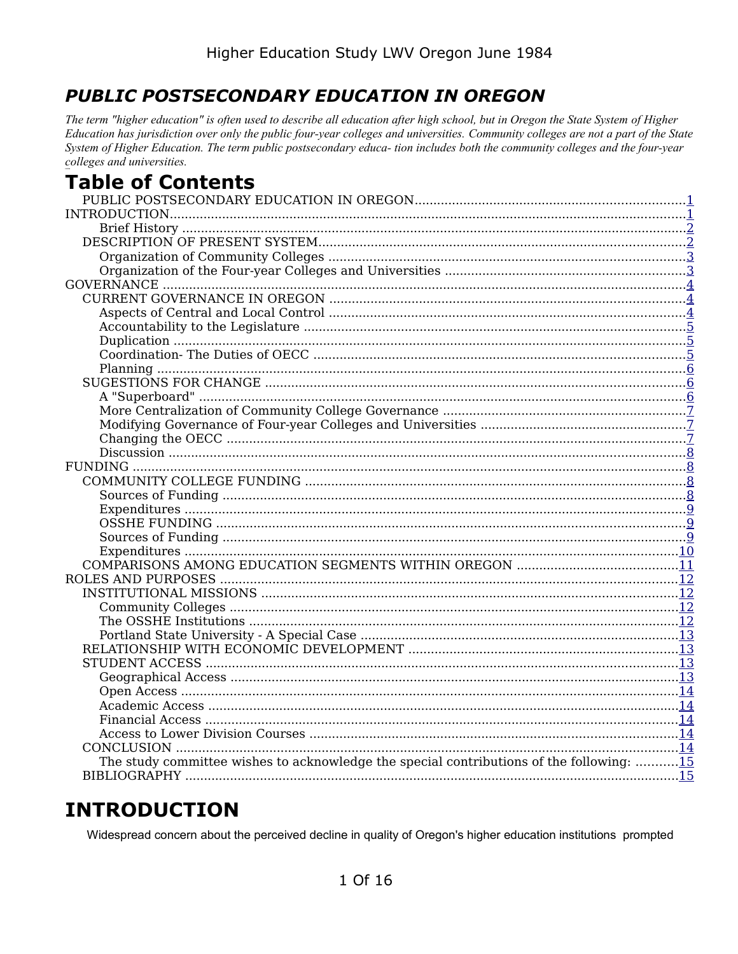## <span id="page-0-1"></span>**PUBLIC POSTSECONDARY EDUCATION IN OREGON**

The term "higher education" is often used to describe all education after high school, but in Oregon the State System of Higher Education has jurisdiction over only the public four-year colleges and universities. Community colleges are not a part of the State System of Higher Education. The term public postsecondary educa- tion includes both the community colleges and the four-year colleges and universities.

# **Table of Contents**

| The study committee wishes to acknowledge the special contributions of the following: 15 |  |
|------------------------------------------------------------------------------------------|--|
|                                                                                          |  |

# <span id="page-0-0"></span>**INTRODUCTION**

Widespread concern about the perceived decline in quality of Oregon's higher education institutions prompted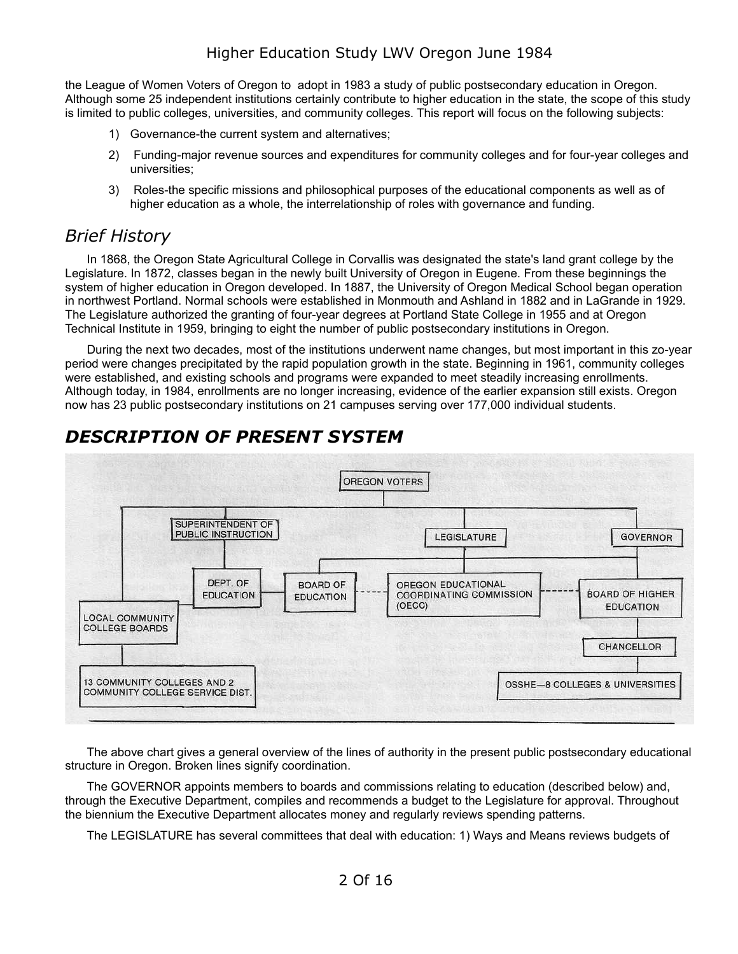the League of Women Voters of Oregon to adopt in 1983 a study of public postsecondary education in Oregon. Although some 25 independent institutions certainly contribute to higher education in the state, the scope of this study is limited to public colleges, universities, and community colleges. This report will focus on the following subjects:

- 1) Governance-the current system and alternatives;
- 2) Funding-major revenue sources and expenditures for community colleges and for four-year colleges and universities;
- 3) Roles-the specific missions and philosophical purposes of the educational components as well as of higher education as a whole, the interrelationship of roles with governance and funding.

#### <span id="page-1-1"></span>*Brief History*

In 1868, the Oregon State Agricultural College in Corvallis was designated the state's land grant college by the Legislature. In 1872, classes began in the newly built University of Oregon in Eugene. From these beginnings the system of higher education in Oregon developed. In 1887, the University of Oregon Medical School began operation in northwest Portland. Normal schools were established in Monmouth and Ashland in 1882 and in LaGrande in 1929. The Legislature authorized the granting of four-year degrees at Portland State College in 1955 and at Oregon Technical Institute in 1959, bringing to eight the number of public postsecondary institutions in Oregon.

During the next two decades, most of the institutions underwent name changes, but most important in this zo-year period were changes precipitated by the rapid population growth in the state. Beginning in 1961, community colleges were established, and existing schools and programs were expanded to meet steadily increasing enrollments. Although today, in 1984, enrollments are no longer increasing, evidence of the earlier expansion still exists. Oregon now has 23 public postsecondary institutions on 21 campuses serving over 177,000 individual students.



## <span id="page-1-0"></span>*DESCRIPTION OF PRESENT SYSTEM*

The above chart gives a general overview of the lines of authority in the present public postsecondary educational structure in Oregon. Broken lines signify coordination.

The GOVERNOR appoints members to boards and commissions relating to education (described below) and, through the Executive Department, compiles and recommends a budget to the Legislature for approval. Throughout the biennium the Executive Department allocates money and regularly reviews spending patterns.

The LEGISLATURE has several committees that deal with education: 1) Ways and Means reviews budgets of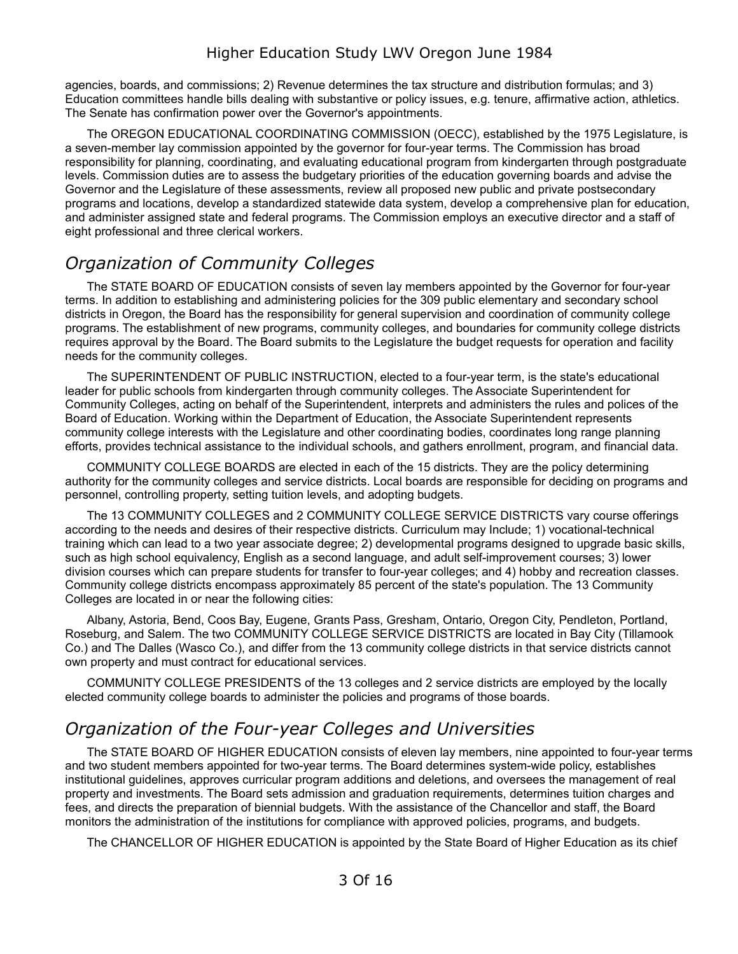agencies, boards, and commissions; 2) Revenue determines the tax structure and distribution formulas; and 3) Education committees handle bills dealing with substantive or policy issues, e.g. tenure, affirmative action, athletics. The Senate has confirmation power over the Governor's appointments.

The OREGON EDUCATIONAL COORDINATING COMMISSION (OECC), established by the 1975 Legislature, is a seven-member lay commission appointed by the governor for four-year terms. The Commission has broad responsibility for planning, coordinating, and evaluating educational program from kindergarten through postgraduate levels. Commission duties are to assess the budgetary priorities of the education governing boards and advise the Governor and the Legislature of these assessments, review all proposed new public and private postsecondary programs and locations, develop a standardized statewide data system, develop a comprehensive plan for education, and administer assigned state and federal programs. The Commission employs an executive director and a staff of eight professional and three clerical workers.

## <span id="page-2-1"></span>*Organization of Community Colleges*

The STATE BOARD OF EDUCATION consists of seven lay members appointed by the Governor for four-year terms. In addition to establishing and administering policies for the 309 public elementary and secondary school districts in Oregon, the Board has the responsibility for general supervision and coordination of community college programs. The establishment of new programs, community colleges, and boundaries for community college districts requires approval by the Board. The Board submits to the Legislature the budget requests for operation and facility needs for the community colleges.

The SUPERINTENDENT OF PUBLIC INSTRUCTION, elected to a four-year term, is the state's educational leader for public schools from kindergarten through community colleges. The Associate Superintendent for Community Colleges, acting on behalf of the Superintendent, interprets and administers the rules and polices of the Board of Education. Working within the Department of Education, the Associate Superintendent represents community college interests with the Legislature and other coordinating bodies, coordinates long range planning efforts, provides technical assistance to the individual schools, and gathers enrollment, program, and financial data.

COMMUNITY COLLEGE BOARDS are elected in each of the 15 districts. They are the policy determining authority for the community colleges and service districts. Local boards are responsible for deciding on programs and personnel, controlling property, setting tuition levels, and adopting budgets.

The 13 COMMUNITY COLLEGES and 2 COMMUNITY COLLEGE SERVICE DISTRICTS vary course offerings according to the needs and desires of their respective districts. Curriculum may Include; 1) vocational-technical training which can lead to a two year associate degree; 2) developmental programs designed to upgrade basic skills, such as high school equivalency, English as a second language, and adult self-improvement courses; 3) lower division courses which can prepare students for transfer to four-year colleges; and 4) hobby and recreation classes. Community college districts encompass approximately 85 percent of the state's population. The 13 Community Colleges are located in or near the following cities:

Albany, Astoria, Bend, Coos Bay, Eugene, Grants Pass, Gresham, Ontario, Oregon City, Pendleton, Portland, Roseburg, and Salem. The two COMMUNITY COLLEGE SERVICE DISTRICTS are located in Bay City (Tillamook Co.) and The Dalles (Wasco Co.), and differ from the 13 community college districts in that service districts cannot own property and must contract for educational services.

COMMUNITY COLLEGE PRESIDENTS of the 13 colleges and 2 service districts are employed by the locally elected community college boards to administer the policies and programs of those boards.

### <span id="page-2-0"></span>*Organization of the Four-year Colleges and Universities*

The STATE BOARD OF HIGHER EDUCATION consists of eleven lay members, nine appointed to four-year terms and two student members appointed for two-year terms. The Board determines system-wide policy, establishes institutional guidelines, approves curricular program additions and deletions, and oversees the management of real property and investments. The Board sets admission and graduation requirements, determines tuition charges and fees, and directs the preparation of biennial budgets. With the assistance of the Chancellor and staff, the Board monitors the administration of the institutions for compliance with approved policies, programs, and budgets.

The CHANCELLOR OF HIGHER EDUCATION is appointed by the State Board of Higher Education as its chief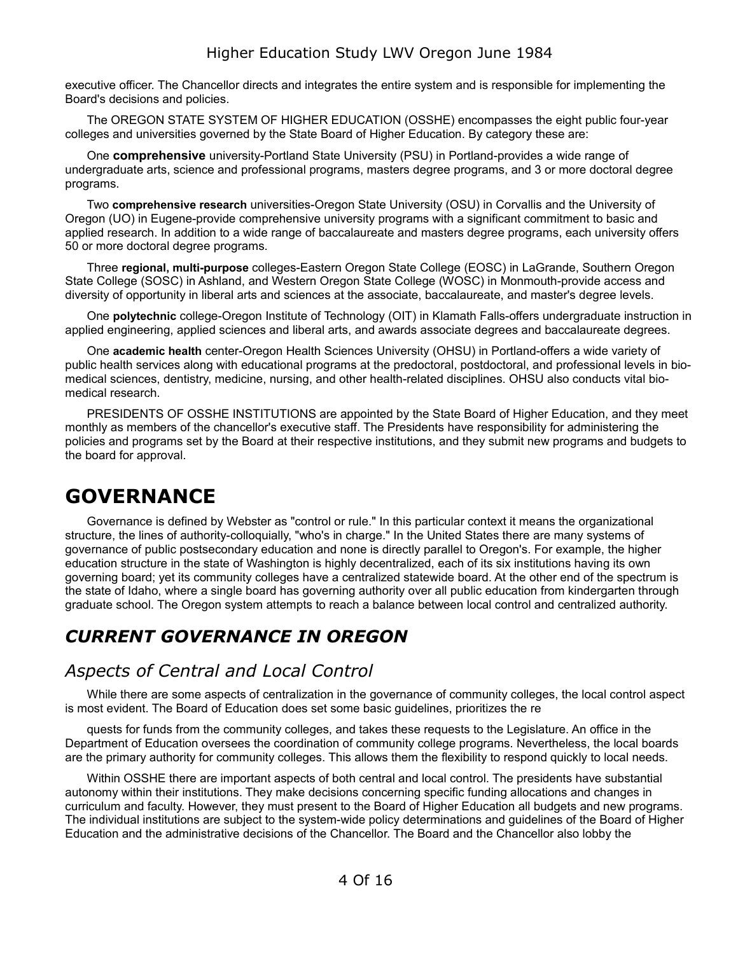executive officer. The Chancellor directs and integrates the entire system and is responsible for implementing the Board's decisions and policies.

The OREGON STATE SYSTEM OF HIGHER EDUCATION (OSSHE) encompasses the eight public four-year colleges and universities governed by the State Board of Higher Education. By category these are:

One **comprehensive** university-Portland State University (PSU) in Portland-provides a wide range of undergraduate arts, science and professional programs, masters degree programs, and 3 or more doctoral degree programs.

Two **comprehensive research** universities-Oregon State University (OSU) in Corvallis and the University of Oregon (UO) in Eugene-provide comprehensive university programs with a significant commitment to basic and applied research. In addition to a wide range of baccalaureate and masters degree programs, each university offers 50 or more doctoral degree programs.

Three **regional, multi-purpose** colleges-Eastern Oregon State College (EOSC) in LaGrande, Southern Oregon State College (SOSC) in Ashland, and Western Oregon State College (WOSC) in Monmouth-provide access and diversity of opportunity in liberal arts and sciences at the associate, baccalaureate, and master's degree levels.

One **polytechnic** college-Oregon Institute of Technology (OIT) in Klamath Falls-offers undergraduate instruction in applied engineering, applied sciences and liberal arts, and awards associate degrees and baccalaureate degrees.

One **academic health** center-Oregon Health Sciences University (OHSU) in Portland-offers a wide variety of public health services along with educational programs at the predoctoral, postdoctoral, and professional levels in biomedical sciences, dentistry, medicine, nursing, and other health-related disciplines. OHSU also conducts vital biomedical research.

PRESIDENTS OF OSSHE INSTITUTIONS are appointed by the State Board of Higher Education, and they meet monthly as members of the chancellor's executive staff. The Presidents have responsibility for administering the policies and programs set by the Board at their respective institutions, and they submit new programs and budgets to the board for approval.

# <span id="page-3-2"></span>**GOVERNANCE**

Governance is defined by Webster as "control or rule." In this particular context it means the organizational structure, the lines of authority-colloquially, "who's in charge." In the United States there are many systems of governance of public postsecondary education and none is directly parallel to Oregon's. For example, the higher education structure in the state of Washington is highly decentralized, each of its six institutions having its own governing board; yet its community colleges have a centralized statewide board. At the other end of the spectrum is the state of Idaho, where a single board has governing authority over all public education from kindergarten through graduate school. The Oregon system attempts to reach a balance between local control and centralized authority.

## <span id="page-3-1"></span>*CURRENT GOVERNANCE IN OREGON*

#### <span id="page-3-0"></span>*Aspects of Central and Local Control*

While there are some aspects of centralization in the governance of community colleges, the local control aspect is most evident. The Board of Education does set some basic guidelines, prioritizes the re

quests for funds from the community colleges, and takes these requests to the Legislature. An office in the Department of Education oversees the coordination of community college programs. Nevertheless, the local boards are the primary authority for community colleges. This allows them the flexibility to respond quickly to local needs.

Within OSSHE there are important aspects of both central and local control. The presidents have substantial autonomy within their institutions. They make decisions concerning specific funding allocations and changes in curriculum and faculty. However, they must present to the Board of Higher Education all budgets and new programs. The individual institutions are subject to the system-wide policy determinations and guidelines of the Board of Higher Education and the administrative decisions of the Chancellor. The Board and the Chancellor also lobby the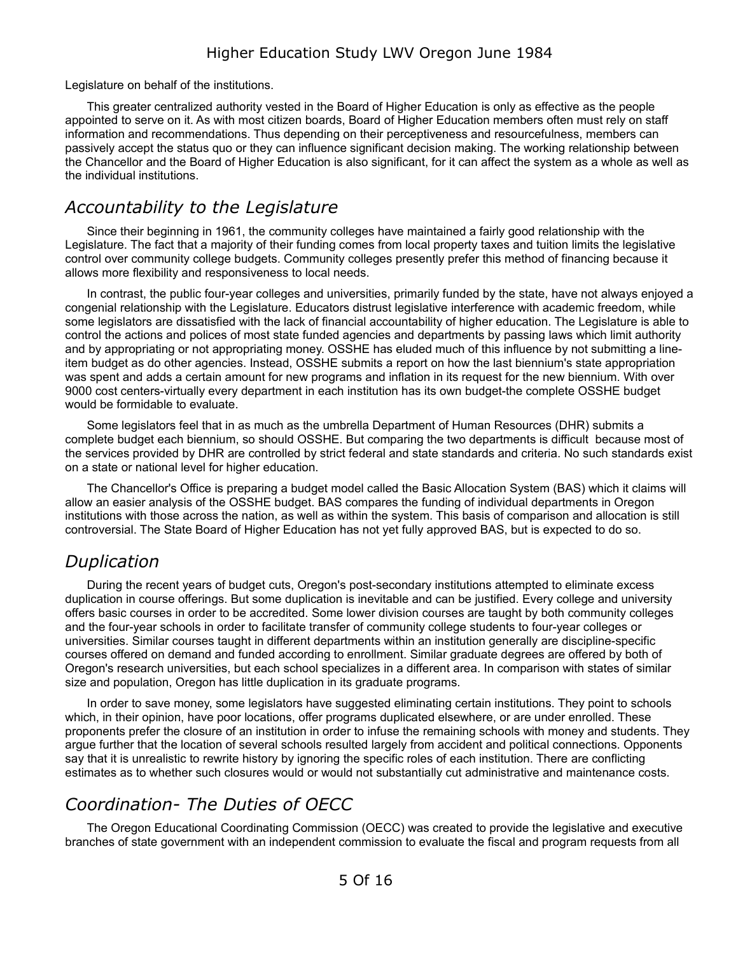Legislature on behalf of the institutions.

This greater centralized authority vested in the Board of Higher Education is only as effective as the people appointed to serve on it. As with most citizen boards, Board of Higher Education members often must rely on staff information and recommendations. Thus depending on their perceptiveness and resourcefulness, members can passively accept the status quo or they can influence significant decision making. The working relationship between the Chancellor and the Board of Higher Education is also significant, for it can affect the system as a whole as well as the individual institutions.

#### <span id="page-4-2"></span>*Accountability to the Legislature*

Since their beginning in 1961, the community colleges have maintained a fairly good relationship with the Legislature. The fact that a majority of their funding comes from local property taxes and tuition limits the legislative control over community college budgets. Community colleges presently prefer this method of financing because it allows more flexibility and responsiveness to local needs.

In contrast, the public four-year colleges and universities, primarily funded by the state, have not always enjoyed a congenial relationship with the Legislature. Educators distrust legislative interference with academic freedom, while some legislators are dissatisfied with the lack of financial accountability of higher education. The Legislature is able to control the actions and polices of most state funded agencies and departments by passing laws which limit authority and by appropriating or not appropriating money. OSSHE has eluded much of this influence by not submitting a lineitem budget as do other agencies. Instead, OSSHE submits a report on how the last biennium's state appropriation was spent and adds a certain amount for new programs and inflation in its request for the new biennium. With over 9000 cost centers-virtually every department in each institution has its own budget-the complete OSSHE budget would be formidable to evaluate.

Some legislators feel that in as much as the umbrella Department of Human Resources (DHR) submits a complete budget each biennium, so should OSSHE. But comparing the two departments is difficult because most of the services provided by DHR are controlled by strict federal and state standards and criteria. No such standards exist on a state or national level for higher education.

The Chancellor's Office is preparing a budget model called the Basic Allocation System (BAS) which it claims will allow an easier analysis of the OSSHE budget. BAS compares the funding of individual departments in Oregon institutions with those across the nation, as well as within the system. This basis of comparison and allocation is still controversial. The State Board of Higher Education has not yet fully approved BAS, but is expected to do so.

### <span id="page-4-1"></span>*Duplication*

During the recent years of budget cuts, Oregon's post-secondary institutions attempted to eliminate excess duplication in course offerings. But some duplication is inevitable and can be justified. Every college and university offers basic courses in order to be accredited. Some lower division courses are taught by both community colleges and the four-year schools in order to facilitate transfer of community college students to four-year colleges or universities. Similar courses taught in different departments within an institution generally are discipline-specific courses offered on demand and funded according to enrollment. Similar graduate degrees are offered by both of Oregon's research universities, but each school specializes in a different area. In comparison with states of similar size and population, Oregon has little duplication in its graduate programs.

In order to save money, some legislators have suggested eliminating certain institutions. They point to schools which, in their opinion, have poor locations, offer programs duplicated elsewhere, or are under enrolled. These proponents prefer the closure of an institution in order to infuse the remaining schools with money and students. They argue further that the location of several schools resulted largely from accident and political connections. Opponents say that it is unrealistic to rewrite history by ignoring the specific roles of each institution. There are conflicting estimates as to whether such closures would or would not substantially cut administrative and maintenance costs.

### <span id="page-4-0"></span>*Coordination- The Duties of OECC*

The Oregon Educational Coordinating Commission (OECC) was created to provide the legislative and executive branches of state government with an independent commission to evaluate the fiscal and program requests from all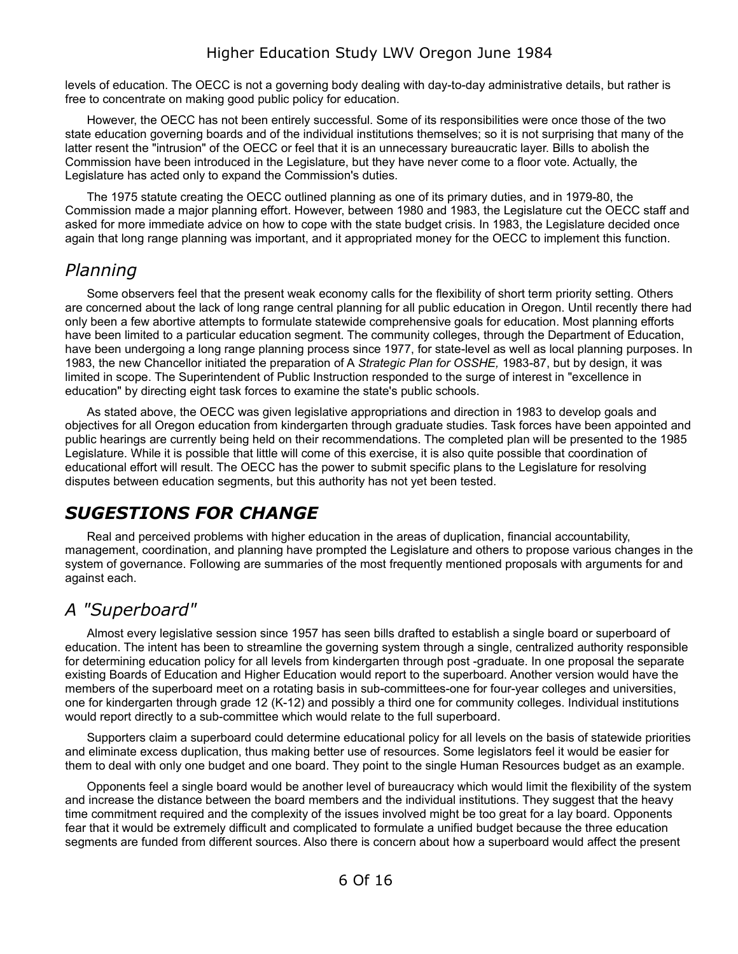levels of education. The OECC is not a governing body dealing with day-to-day administrative details, but rather is free to concentrate on making good public policy for education.

However, the OECC has not been entirely successful. Some of its responsibilities were once those of the two state education governing boards and of the individual institutions themselves; so it is not surprising that many of the latter resent the "intrusion" of the OECC or feel that it is an unnecessary bureaucratic layer. Bills to abolish the Commission have been introduced in the Legislature, but they have never come to a floor vote. Actually, the Legislature has acted only to expand the Commission's duties.

The 1975 statute creating the OECC outlined planning as one of its primary duties, and in 1979-80, the Commission made a major planning effort. However, between 1980 and 1983, the Legislature cut the OECC staff and asked for more immediate advice on how to cope with the state budget crisis. In 1983, the Legislature decided once again that long range planning was important, and it appropriated money for the OECC to implement this function.

#### <span id="page-5-2"></span>*Planning*

Some observers feel that the present weak economy calls for the flexibility of short term priority setting. Others are concerned about the lack of long range central planning for all public education in Oregon. Until recently there had only been a few abortive attempts to formulate statewide comprehensive goals for education. Most planning efforts have been limited to a particular education segment. The community colleges, through the Department of Education, have been undergoing a long range planning process since 1977, for state-level as well as local planning purposes. In 1983, the new Chancellor initiated the preparation of A *Strategic Plan for OSSHE,* 1983-87, but by design, it was limited in scope. The Superintendent of Public Instruction responded to the surge of interest in "excellence in education" by directing eight task forces to examine the state's public schools.

As stated above, the OECC was given legislative appropriations and direction in 1983 to develop goals and objectives for all Oregon education from kindergarten through graduate studies. Task forces have been appointed and public hearings are currently being held on their recommendations. The completed plan will be presented to the 1985 Legislature. While it is possible that little will come of this exercise, it is also quite possible that coordination of educational effort will result. The OECC has the power to submit specific plans to the Legislature for resolving disputes between education segments, but this authority has not yet been tested.

### <span id="page-5-1"></span>*SUGESTIONS FOR CHANGE*

Real and perceived problems with higher education in the areas of duplication, financial accountability, management, coordination, and planning have prompted the Legislature and others to propose various changes in the system of governance. Following are summaries of the most frequently mentioned proposals with arguments for and against each.

#### <span id="page-5-0"></span>*A "Superboard"*

Almost every legislative session since 1957 has seen bills drafted to establish a single board or superboard of education. The intent has been to streamline the governing system through a single, centralized authority responsible for determining education policy for all levels from kindergarten through post -graduate. In one proposal the separate existing Boards of Education and Higher Education would report to the superboard. Another version would have the members of the superboard meet on a rotating basis in sub-committees-one for four-year colleges and universities, one for kindergarten through grade 12 (K-12) and possibly a third one for community colleges. Individual institutions would report directly to a sub-committee which would relate to the full superboard.

Supporters claim a superboard could determine educational policy for all levels on the basis of statewide priorities and eliminate excess duplication, thus making better use of resources. Some legislators feel it would be easier for them to deal with only one budget and one board. They point to the single Human Resources budget as an example.

Opponents feel a single board would be another level of bureaucracy which would limit the flexibility of the system and increase the distance between the board members and the individual institutions. They suggest that the heavy time commitment required and the complexity of the issues involved might be too great for a lay board. Opponents fear that it would be extremely difficult and complicated to formulate a unified budget because the three education segments are funded from different sources. Also there is concern about how a superboard would affect the present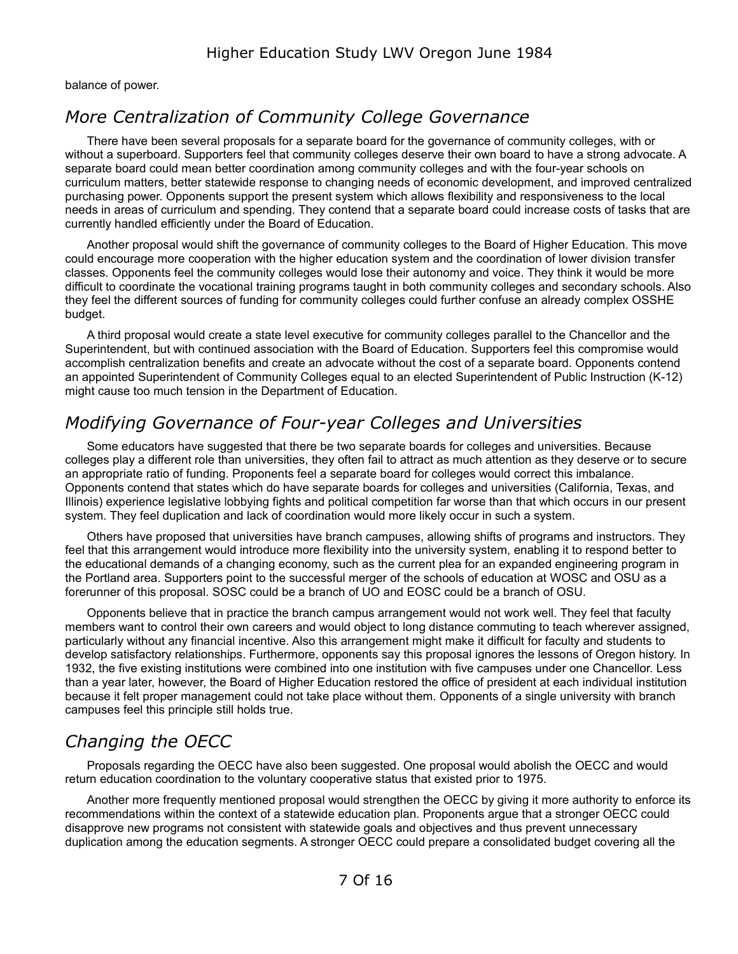balance of power.

### <span id="page-6-2"></span>*More Centralization of Community College Governance*

There have been several proposals for a separate board for the governance of community colleges, with or without a superboard. Supporters feel that community colleges deserve their own board to have a strong advocate. A separate board could mean better coordination among community colleges and with the four-year schools on curriculum matters, better statewide response to changing needs of economic development, and improved centralized purchasing power. Opponents support the present system which allows flexibility and responsiveness to the local needs in areas of curriculum and spending. They contend that a separate board could increase costs of tasks that are currently handled efficiently under the Board of Education.

Another proposal would shift the governance of community colleges to the Board of Higher Education. This move could encourage more cooperation with the higher education system and the coordination of lower division transfer classes. Opponents feel the community colleges would lose their autonomy and voice. They think it would be more difficult to coordinate the vocational training programs taught in both community colleges and secondary schools. Also they feel the different sources of funding for community colleges could further confuse an already complex OSSHE budget.

A third proposal would create a state level executive for community colleges parallel to the Chancellor and the Superintendent, but with continued association with the Board of Education. Supporters feel this compromise would accomplish centralization benefits and create an advocate without the cost of a separate board. Opponents contend an appointed Superintendent of Community Colleges equal to an elected Superintendent of Public Instruction (K-12) might cause too much tension in the Department of Education.

### <span id="page-6-1"></span>*Modifying Governance of Four-year Colleges and Universities*

Some educators have suggested that there be two separate boards for colleges and universities. Because colleges play a different role than universities, they often fail to attract as much attention as they deserve or to secure an appropriate ratio of funding. Proponents feel a separate board for colleges would correct this imbalance. Opponents contend that states which do have separate boards for colleges and universities (California, Texas, and Illinois) experience legislative lobbying fights and political competition far worse than that which occurs in our present system. They feel duplication and lack of coordination would more likely occur in such a system.

Others have proposed that universities have branch campuses, allowing shifts of programs and instructors. They feel that this arrangement would introduce more flexibility into the university system, enabling it to respond better to the educational demands of a changing economy, such as the current plea for an expanded engineering program in the Portland area. Supporters point to the successful merger of the schools of education at WOSC and OSU as a forerunner of this proposal. SOSC could be a branch of UO and EOSC could be a branch of OSU.

Opponents believe that in practice the branch campus arrangement would not work well. They feel that faculty members want to control their own careers and would object to long distance commuting to teach wherever assigned, particularly without any financial incentive. Also this arrangement might make it difficult for faculty and students to develop satisfactory relationships. Furthermore, opponents say this proposal ignores the lessons of Oregon history. In 1932, the five existing institutions were combined into one institution with five campuses under one Chancellor. Less than a year later, however, the Board of Higher Education restored the office of president at each individual institution because it felt proper management could not take place without them. Opponents of a single university with branch campuses feel this principle still holds true.

### <span id="page-6-0"></span>*Changing the OECC*

Proposals regarding the OECC have also been suggested. One proposal would abolish the OECC and would return education coordination to the voluntary cooperative status that existed prior to 1975.

Another more frequently mentioned proposal would strengthen the OECC by giving it more authority to enforce its recommendations within the context of a statewide education plan. Proponents argue that a stronger OECC could disapprove new programs not consistent with statewide goals and objectives and thus prevent unnecessary duplication among the education segments. A stronger OECC could prepare a consolidated budget covering all the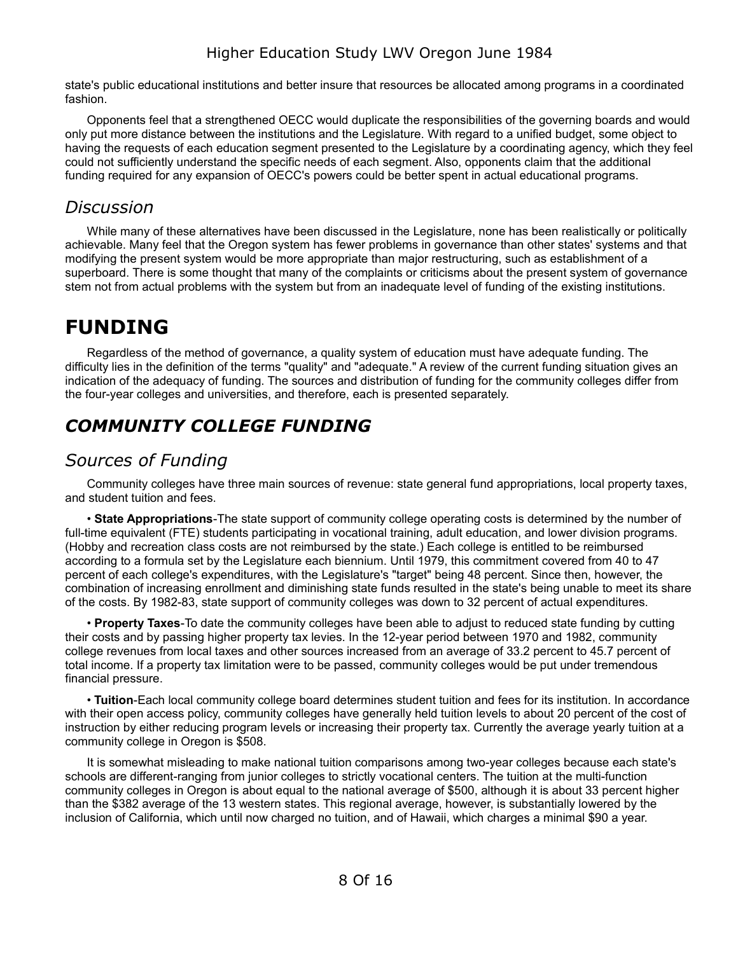state's public educational institutions and better insure that resources be allocated among programs in a coordinated fashion.

Opponents feel that a strengthened OECC would duplicate the responsibilities of the governing boards and would only put more distance between the institutions and the Legislature. With regard to a unified budget, some object to having the requests of each education segment presented to the Legislature by a coordinating agency, which they feel could not sufficiently understand the specific needs of each segment. Also, opponents claim that the additional funding required for any expansion of OECC's powers could be better spent in actual educational programs.

#### <span id="page-7-3"></span>*Discussion*

While many of these alternatives have been discussed in the Legislature, none has been realistically or politically achievable. Many feel that the Oregon system has fewer problems in governance than other states' systems and that modifying the present system would be more appropriate than major restructuring, such as establishment of a superboard. There is some thought that many of the complaints or criticisms about the present system of governance stem not from actual problems with the system but from an inadequate level of funding of the existing institutions.

# <span id="page-7-2"></span>**FUNDING**

Regardless of the method of governance, a quality system of education must have adequate funding. The difficulty lies in the definition of the terms "quality" and "adequate." A review of the current funding situation gives an indication of the adequacy of funding. The sources and distribution of funding for the community colleges differ from the four-year colleges and universities, and therefore, each is presented separately.

# <span id="page-7-1"></span>*COMMUNITY COLLEGE FUNDING*

### <span id="page-7-0"></span>*Sources of Funding*

Community colleges have three main sources of revenue: state general fund appropriations, local property taxes, and student tuition and fees.

• **State Appropriations**-The state support of community college operating costs is determined by the number of full-time equivalent (FTE) students participating in vocational training, adult education, and lower division programs. (Hobby and recreation class costs are not reimbursed by the state.) Each college is entitled to be reimbursed according to a formula set by the Legislature each biennium. Until 1979, this commitment covered from 40 to 47 percent of each college's expenditures, with the Legislature's "target" being 48 percent. Since then, however, the combination of increasing enrollment and diminishing state funds resulted in the state's being unable to meet its share of the costs. By 1982-83, state support of community colleges was down to 32 percent of actual expenditures.

• **Property Taxes**-To date the community colleges have been able to adjust to reduced state funding by cutting their costs and by passing higher property tax levies. In the 12-year period between 1970 and 1982, community college revenues from local taxes and other sources increased from an average of 33.2 percent to 45.7 percent of total income. If a property tax limitation were to be passed, community colleges would be put under tremendous financial pressure.

• **Tuition**-Each local community college board determines student tuition and fees for its institution. In accordance with their open access policy, community colleges have generally held tuition levels to about 20 percent of the cost of instruction by either reducing program levels or increasing their property tax. Currently the average yearly tuition at a community college in Oregon is \$508.

It is somewhat misleading to make national tuition comparisons among two-year colleges because each state's schools are different-ranging from junior colleges to strictly vocational centers. The tuition at the multi-function community colleges in Oregon is about equal to the national average of \$500, although it is about 33 percent higher than the \$382 average of the 13 western states. This regional average, however, is substantially lowered by the inclusion of California, which until now charged no tuition, and of Hawaii, which charges a minimal \$90 a year.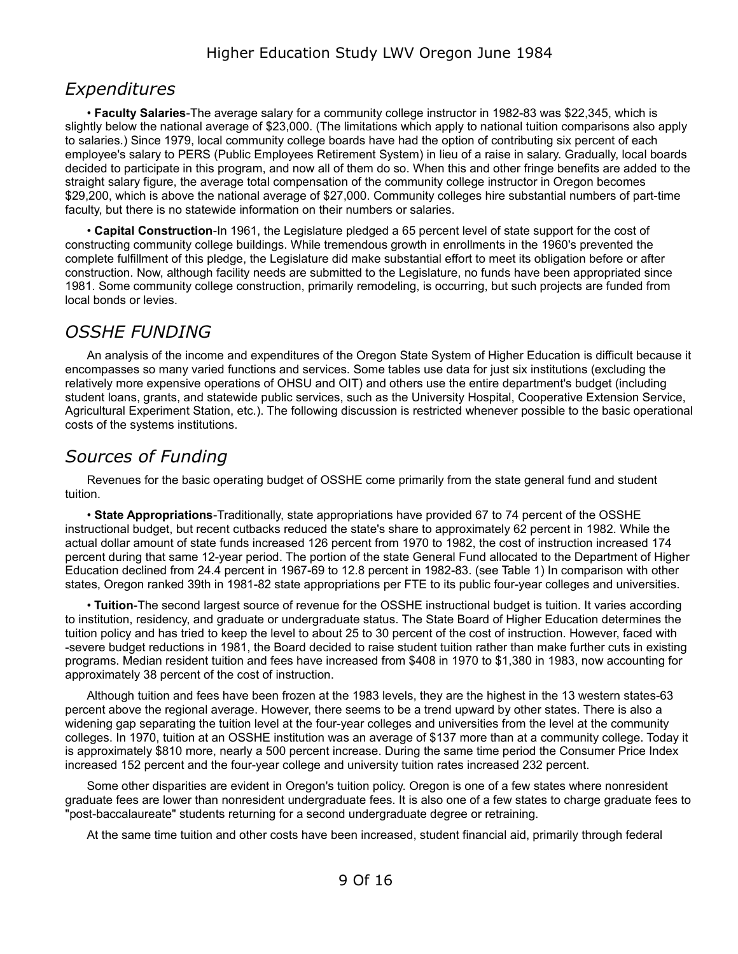#### <span id="page-8-2"></span>*Expenditures*

• **Faculty Salaries**-The average salary for a community college instructor in 1982-83 was \$22,345, which is slightly below the national average of \$23,000. (The limitations which apply to national tuition comparisons also apply to salaries.) Since 1979, local community college boards have had the option of contributing six percent of each employee's salary to PERS (Public Employees Retirement System) in lieu of a raise in salary. Gradually, local boards decided to participate in this program, and now all of them do so. When this and other fringe benefits are added to the straight salary figure, the average total compensation of the community college instructor in Oregon becomes \$29,200, which is above the national average of \$27,000. Community colleges hire substantial numbers of part-time faculty, but there is no statewide information on their numbers or salaries.

• **Capital Construction**-In 1961, the Legislature pledged a 65 percent level of state support for the cost of constructing community college buildings. While tremendous growth in enrollments in the 1960's prevented the complete fulfillment of this pledge, the Legislature did make substantial effort to meet its obligation before or after construction. Now, although facility needs are submitted to the Legislature, no funds have been appropriated since 1981. Some community college construction, primarily remodeling, is occurring, but such projects are funded from local bonds or levies.

### <span id="page-8-1"></span>*OSSHE FUNDING*

An analysis of the income and expenditures of the Oregon State System of Higher Education is difficult because it encompasses so many varied functions and services. Some tables use data for just six institutions (excluding the relatively more expensive operations of OHSU and OIT) and others use the entire department's budget (including student loans, grants, and statewide public services, such as the University Hospital, Cooperative Extension Service, Agricultural Experiment Station, etc.). The following discussion is restricted whenever possible to the basic operational costs of the systems institutions.

#### <span id="page-8-0"></span>*Sources of Funding*

Revenues for the basic operating budget of OSSHE come primarily from the state general fund and student tuition.

• **State Appropriations**-Traditionally, state appropriations have provided 67 to 74 percent of the OSSHE instructional budget, but recent cutbacks reduced the state's share to approximately 62 percent in 1982. While the actual dollar amount of state funds increased 126 percent from 1970 to 1982, the cost of instruction increased 174 percent during that same 12-year period. The portion of the state General Fund allocated to the Department of Higher Education declined from 24.4 percent in 1967-69 to 12.8 percent in 1982-83. (see Table 1) In comparison with other states, Oregon ranked 39th in 1981-82 state appropriations per FTE to its public four-year colleges and universities.

• **Tuition**-The second largest source of revenue for the OSSHE instructional budget is tuition. It varies according to institution, residency, and graduate or undergraduate status. The State Board of Higher Education determines the tuition policy and has tried to keep the level to about 25 to 30 percent of the cost of instruction. However, faced with -severe budget reductions in 1981, the Board decided to raise student tuition rather than make further cuts in existing programs. Median resident tuition and fees have increased from \$408 in 1970 to \$1,380 in 1983, now accounting for approximately 38 percent of the cost of instruction.

Although tuition and fees have been frozen at the 1983 levels, they are the highest in the 13 western states-63 percent above the regional average. However, there seems to be a trend upward by other states. There is also a widening gap separating the tuition level at the four-year colleges and universities from the level at the community colleges. In 1970, tuition at an OSSHE institution was an average of \$137 more than at a community college. Today it is approximately \$810 more, nearly a 500 percent increase. During the same time period the Consumer Price Index increased 152 percent and the four-year college and university tuition rates increased 232 percent.

Some other disparities are evident in Oregon's tuition policy. Oregon is one of a few states where nonresident graduate fees are lower than nonresident undergraduate fees. It is also one of a few states to charge graduate fees to "post-baccalaureate" students returning for a second undergraduate degree or retraining.

At the same time tuition and other costs have been increased, student financial aid, primarily through federal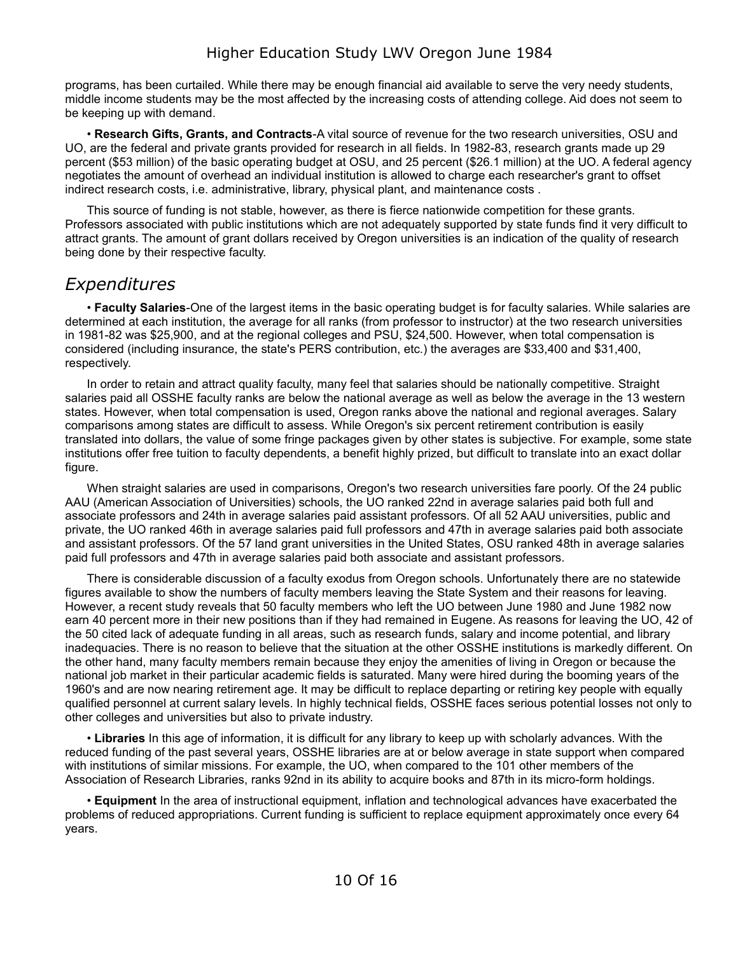programs, has been curtailed. While there may be enough financial aid available to serve the very needy students, middle income students may be the most affected by the increasing costs of attending college. Aid does not seem to be keeping up with demand.

• **Research Gifts, Grants, and Contracts**-A vital source of revenue for the two research universities, OSU and UO, are the federal and private grants provided for research in all fields. In 1982-83, research grants made up 29 percent (\$53 million) of the basic operating budget at OSU, and 25 percent (\$26.1 million) at the UO. A federal agency negotiates the amount of overhead an individual institution is allowed to charge each researcher's grant to offset indirect research costs, i.e. administrative, library, physical plant, and maintenance costs .

This source of funding is not stable, however, as there is fierce nationwide competition for these grants. Professors associated with public institutions which are not adequately supported by state funds find it very difficult to attract grants. The amount of grant dollars received by Oregon universities is an indication of the quality of research being done by their respective faculty.

#### <span id="page-9-0"></span>*Expenditures*

• **Faculty Salaries**-One of the largest items in the basic operating budget is for faculty salaries. While salaries are determined at each institution, the average for all ranks (from professor to instructor) at the two research universities in 1981-82 was \$25,900, and at the regional colleges and PSU, \$24,500. However, when total compensation is considered (including insurance, the state's PERS contribution, etc.) the averages are \$33,400 and \$31,400, respectively.

In order to retain and attract quality faculty, many feel that salaries should be nationally competitive. Straight salaries paid all OSSHE faculty ranks are below the national average as well as below the average in the 13 western states. However, when total compensation is used, Oregon ranks above the national and regional averages. Salary comparisons among states are difficult to assess. While Oregon's six percent retirement contribution is easily translated into dollars, the value of some fringe packages given by other states is subjective. For example, some state institutions offer free tuition to faculty dependents, a benefit highly prized, but difficult to translate into an exact dollar figure.

When straight salaries are used in comparisons, Oregon's two research universities fare poorly. Of the 24 public AAU (American Association of Universities) schools, the UO ranked 22nd in average salaries paid both full and associate professors and 24th in average salaries paid assistant professors. Of all 52 AAU universities, public and private, the UO ranked 46th in average salaries paid full professors and 47th in average salaries paid both associate and assistant professors. Of the 57 land grant universities in the United States, OSU ranked 48th in average salaries paid full professors and 47th in average salaries paid both associate and assistant professors.

There is considerable discussion of a faculty exodus from Oregon schools. Unfortunately there are no statewide figures available to show the numbers of faculty members leaving the State System and their reasons for leaving. However, a recent study reveals that 50 faculty members who left the UO between June 1980 and June 1982 now earn 40 percent more in their new positions than if they had remained in Eugene. As reasons for leaving the UO, 42 of the 50 cited lack of adequate funding in all areas, such as research funds, salary and income potential, and library inadequacies. There is no reason to believe that the situation at the other OSSHE institutions is markedly different. On the other hand, many faculty members remain because they enjoy the amenities of living in Oregon or because the national job market in their particular academic fields is saturated. Many were hired during the booming years of the 1960's and are now nearing retirement age. It may be difficult to replace departing or retiring key people with equally qualified personnel at current salary levels. In highly technical fields, OSSHE faces serious potential losses not only to other colleges and universities but also to private industry.

• **Libraries** In this age of information, it is difficult for any library to keep up with scholarly advances. With the reduced funding of the past several years, OSSHE libraries are at or below average in state support when compared with institutions of similar missions. For example, the UO, when compared to the 101 other members of the Association of Research Libraries, ranks 92nd in its ability to acquire books and 87th in its micro-form holdings.

• **Equipment** In the area of instructional equipment, inflation and technological advances have exacerbated the problems of reduced appropriations. Current funding is sufficient to replace equipment approximately once every 64 years.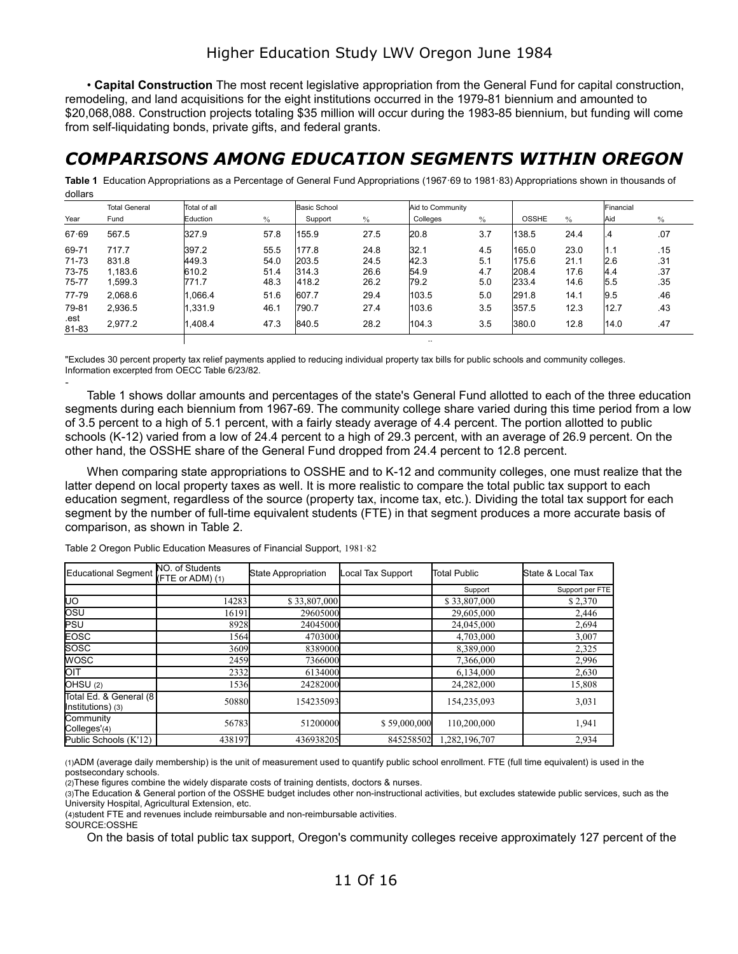• **Capital Construction** The most recent legislative appropriation from the General Fund for capital construction, remodeling, and land acquisitions for the eight institutions occurred in the 1979-81 biennium and amounted to \$20,068,088. Construction projects totaling \$35 million will occur during the 1983-85 biennium, but funding will come from self-liquidating bonds, private gifts, and federal grants.

### <span id="page-10-0"></span>*COMPARISONS AMONG EDUCATION SEGMENTS WITHIN OREGON*

**Table 1** Education Appropriations as a Percentage of General Fund Appropriations (1967·69 to 1981·83) Appropriations shown in thousands of dollars

|               | <b>Total General</b> | Total of all |      | <b>Basic School</b> |      |          | Aid to Community |              |               | Financial |      |
|---------------|----------------------|--------------|------|---------------------|------|----------|------------------|--------------|---------------|-----------|------|
| Year          | Fund                 | Eduction     | $\%$ | Support             | $\%$ | Colleges | $\%$             | <b>OSSHE</b> | $\frac{0}{0}$ | Aid       | $\%$ |
| 67.69         | 567.5                | 327.9        | 57.8 | 155.9               | 27.5 | 20.8     | 3.7              | 138.5        | 24.4          | .4        | .07  |
| 69-71         | 717.7                | 397.2        | 55.5 | 177.8               | 24.8 | 32.1     | 4.5              | 165.0        | 23.0          | 1.1       | .15  |
| 71-73         | 831.8                | 449.3        | 54.0 | 203.5               | 24.5 | 42.3     | 5.1              | 175.6        | 21.1          | 2.6       | .31  |
| 73-75         | 1,183.6              | 610.2        | 51.4 | 314.3               | 26.6 | 54.9     | 4.7              | 208.4        | 17.6          | 4.4       | .37  |
| 75-77         | 1,599.3              | 771.7        | 48.3 | 418.2               | 26.2 | 79.2     | 5.0              | 233.4        | 14.6          | 5.5       | .35  |
| 77-79         | 2,068.6              | 1,066.4      | 51.6 | 607.7               | 29.4 | 103.5    | 5.0              | 291.8        | 14.1          | 9.5       | .46  |
| 79-81         | 2,936.5              | 1,331.9      | 46.1 | 790.7               | 27.4 | 103.6    | 3.5              | 357.5        | 12.3          | 12.7      | .43  |
| .est<br>81-83 | 2,977.2              | .408.4       | 47.3 | 840.5               | 28.2 | 104.3    | 3.5              | 380.0        | 12.8          | 14.0      | .47  |

"Excludes 30 percent property tax relief payments applied to reducing individual property tax bills for public schools and community colleges. Information excerpted from OECC Table 6/23/82.

- Table 1 shows dollar amounts and percentages of the state's General Fund allotted to each of the three education segments during each biennium from 1967-69. The community college share varied during this time period from a low of 3.5 percent to a high of 5.1 percent, with a fairly steady average of 4.4 percent. The portion allotted to public schools (K-12) varied from a low of 24.4 percent to a high of 29.3 percent, with an average of 26.9 percent. On the other hand, the OSSHE share of the General Fund dropped from 24.4 percent to 12.8 percent.

When comparing state appropriations to OSSHE and to K-12 and community colleges, one must realize that the latter depend on local property taxes as well. It is more realistic to compare the total public tax support to each education segment, regardless of the source (property tax, income tax, etc.). Dividing the total tax support for each segment by the number of full-time equivalent students (FTE) in that segment produces a more accurate basis of comparison, as shown in Table 2.

| <b>Educational Segment</b>                   | NO. of Students<br>$(FTE or ADM)$ (1) | State Appropriation | Local Tax Support | <b>Total Public</b> | State & Local Tax |
|----------------------------------------------|---------------------------------------|---------------------|-------------------|---------------------|-------------------|
|                                              |                                       |                     |                   | Support             | Support per FTE   |
| <b>UO</b>                                    | 14283                                 | \$33,807,000        |                   | \$33,807,000        | \$2,370           |
| <b>losu</b>                                  | 16191                                 | 29605000            |                   | 29,605,000          | 2,446             |
| PSU                                          | 8928                                  | 24045000            |                   | 24,045,000          | 2,694             |
| EOSC                                         | 1564                                  | 4703000             |                   | 4,703,000           | 3,007             |
| SOSC                                         | 3609                                  | 8389000             |                   | 8,389,000           | 2,325             |
| <b>WOSC</b>                                  | 2459                                  | 7366000             |                   | 7,366,000           | 2,996             |
| <b>OIT</b>                                   | 2332                                  | 6134000             |                   | 6,134,000           | 2,630             |
| OHSU (2)                                     | 1536                                  | 24282000            |                   | 24,282,000          | 15,808            |
| Total Ed. & General (8)<br>Institutions) (3) | 50880                                 | 154235093           |                   | 154,235,093         | 3,031             |
| Community<br>Colleges'(4)                    | 56783                                 | 51200000            | \$59,000,000      | 110,200,000         | 1,941             |
| Public Schools (K'12)                        | 438197                                | 436938205           | 845258502         | 1,282,196,707       | 2,934             |

Table 2 Oregon Public Education Measures of Financial Support, 1981·82

(1)ADM (average daily membership) is the unit of measurement used to quantify public school enrollment. FTE (full time equivalent) is used in the postsecondary schools.

(2)These figures combine the widely disparate costs of training dentists, doctors & nurses.

(3)The Education & General portion of the OSSHE budget includes other non-instructional activities, but excludes statewide public services, such as the University Hospital, Agricultural Extension, etc.

(4)student FTE and revenues include reimbursable and non-reimbursable activities.

SOURCE:OSSHE

On the basis of total public tax support, Oregon's community colleges receive approximately 127 percent of the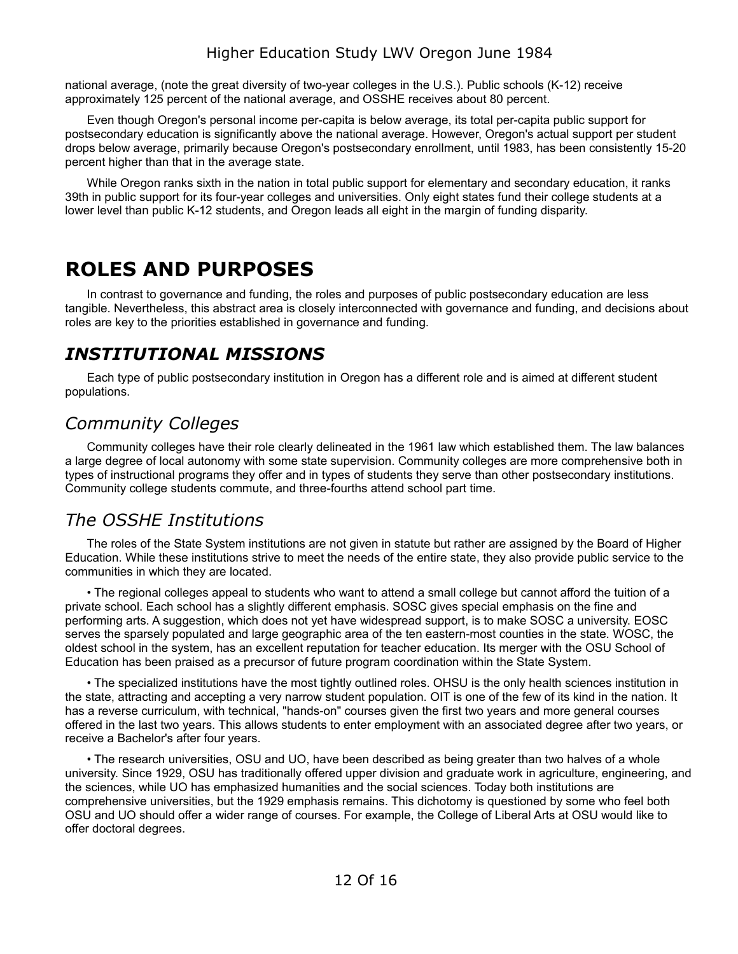national average, (note the great diversity of two-year colleges in the U.S.). Public schools (K-12) receive approximately 125 percent of the national average, and OSSHE receives about 80 percent.

Even though Oregon's personal income per-capita is below average, its total per-capita public support for postsecondary education is significantly above the national average. However, Oregon's actual support per student drops below average, primarily because Oregon's postsecondary enrollment, until 1983, has been consistently 15-20 percent higher than that in the average state.

While Oregon ranks sixth in the nation in total public support for elementary and secondary education, it ranks 39th in public support for its four-year colleges and universities. Only eight states fund their college students at a lower level than public K-12 students, and Oregon leads all eight in the margin of funding disparity.

# <span id="page-11-3"></span>**ROLES AND PURPOSES**

In contrast to governance and funding, the roles and purposes of public postsecondary education are less tangible. Nevertheless, this abstract area is closely interconnected with governance and funding, and decisions about roles are key to the priorities established in governance and funding.

### <span id="page-11-2"></span>*INSTITUTIONAL MISSIONS*

Each type of public postsecondary institution in Oregon has a different role and is aimed at different student populations.

### <span id="page-11-1"></span>*Community Colleges*

Community colleges have their role clearly delineated in the 1961 law which established them. The law balances a large degree of local autonomy with some state supervision. Community colleges are more comprehensive both in types of instructional programs they offer and in types of students they serve than other postsecondary institutions. Community college students commute, and three-fourths attend school part time.

#### <span id="page-11-0"></span>*The OSSHE Institutions*

The roles of the State System institutions are not given in statute but rather are assigned by the Board of Higher Education. While these institutions strive to meet the needs of the entire state, they also provide public service to the communities in which they are located.

• The regional colleges appeal to students who want to attend a small college but cannot afford the tuition of a private school. Each school has a slightly different emphasis. SOSC gives special emphasis on the fine and performing arts. A suggestion, which does not yet have widespread support, is to make SOSC a university. EOSC serves the sparsely populated and large geographic area of the ten eastern-most counties in the state. WOSC, the oldest school in the system, has an excellent reputation for teacher education. Its merger with the OSU School of Education has been praised as a precursor of future program coordination within the State System.

• The specialized institutions have the most tightly outlined roles. OHSU is the only health sciences institution in the state, attracting and accepting a very narrow student population. OIT is one of the few of its kind in the nation. It has a reverse curriculum, with technical, "hands-on" courses given the first two years and more general courses offered in the last two years. This allows students to enter employment with an associated degree after two years, or receive a Bachelor's after four years.

• The research universities, OSU and UO, have been described as being greater than two halves of a whole university. Since 1929, OSU has traditionally offered upper division and graduate work in agriculture, engineering, and the sciences, while UO has emphasized humanities and the social sciences. Today both institutions are comprehensive universities, but the 1929 emphasis remains. This dichotomy is questioned by some who feel both OSU and UO should offer a wider range of courses. For example, the College of Liberal Arts at OSU would like to offer doctoral degrees.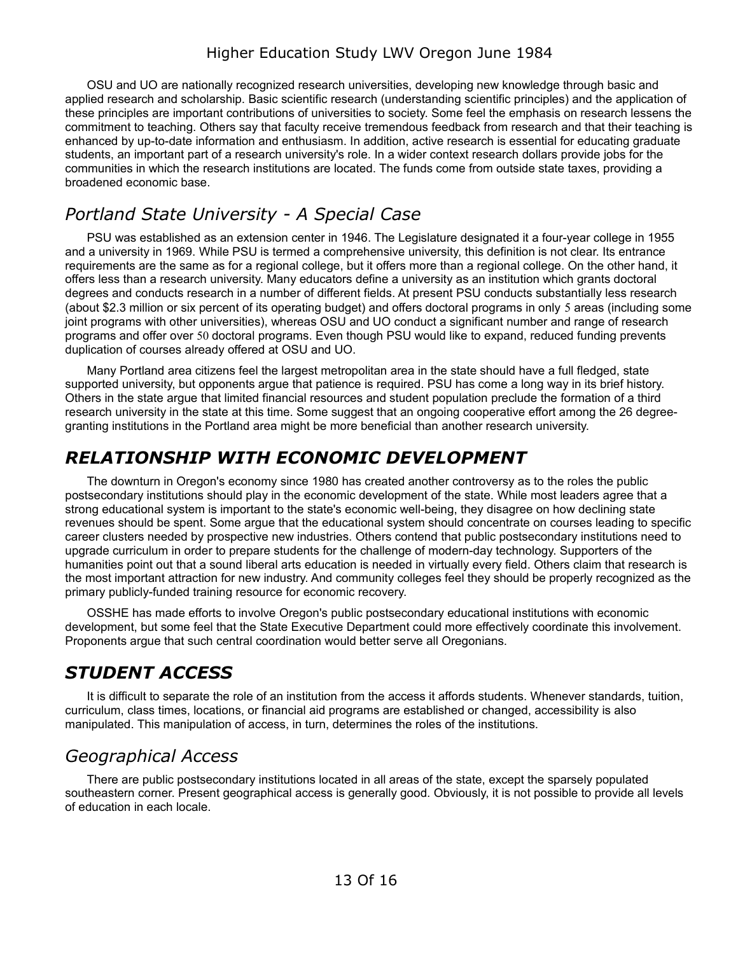OSU and UO are nationally recognized research universities, developing new knowledge through basic and applied research and scholarship. Basic scientific research (understanding scientific principles) and the application of these principles are important contributions of universities to society. Some feel the emphasis on research lessens the commitment to teaching. Others say that faculty receive tremendous feedback from research and that their teaching is enhanced by up-to-date information and enthusiasm. In addition, active research is essential for educating graduate students, an important part of a research university's role. In a wider context research dollars provide jobs for the communities in which the research institutions are located. The funds come from outside state taxes, providing a broadened economic base.

### <span id="page-12-3"></span>*Portland State University - A Special Case*

PSU was established as an extension center in 1946. The Legislature designated it a four-year college in 1955 and a university in 1969. While PSU is termed a comprehensive university, this definition is not clear. Its entrance requirements are the same as for a regional college, but it offers more than a regional college. On the other hand, it offers less than a research university. Many educators define a university as an institution which grants doctoral degrees and conducts research in a number of different fields. At present PSU conducts substantially less research (about \$2.3 million or six percent of its operating budget) and offers doctoral programs in only 5 areas (including some joint programs with other universities), whereas OSU and UO conduct a significant number and range of research programs and offer over 50 doctoral programs. Even though PSU would like to expand, reduced funding prevents duplication of courses already offered at OSU and UO.

Many Portland area citizens feel the largest metropolitan area in the state should have a full fledged, state supported university, but opponents argue that patience is required. PSU has come a long way in its brief history. Others in the state argue that limited financial resources and student population preclude the formation of a third research university in the state at this time. Some suggest that an ongoing cooperative effort among the 26 degreegranting institutions in the Portland area might be more beneficial than another research university.

#### <span id="page-12-2"></span>*RELATIONSHIP WITH ECONOMIC DEVELOPMENT*

The downturn in Oregon's economy since 1980 has created another controversy as to the roles the public postsecondary institutions should play in the economic development of the state. While most leaders agree that a strong educational system is important to the state's economic well-being, they disagree on how declining state revenues should be spent. Some argue that the educational system should concentrate on courses leading to specific career clusters needed by prospective new industries. Others contend that public postsecondary institutions need to upgrade curriculum in order to prepare students for the challenge of modern-day technology. Supporters of the humanities point out that a sound liberal arts education is needed in virtually every field. Others claim that research is the most important attraction for new industry. And community colleges feel they should be properly recognized as the primary publicly-funded training resource for economic recovery.

OSSHE has made efforts to involve Oregon's public postsecondary educational institutions with economic development, but some feel that the State Executive Department could more effectively coordinate this involvement. Proponents argue that such central coordination would better serve all Oregonians.

### <span id="page-12-1"></span>*STUDENT ACCESS*

It is difficult to separate the role of an institution from the access it affords students. Whenever standards, tuition, curriculum, class times, locations, or financial aid programs are established or changed, accessibility is also manipulated. This manipulation of access, in turn, determines the roles of the institutions.

### <span id="page-12-0"></span>*Geographical Access*

There are public postsecondary institutions located in all areas of the state, except the sparsely populated southeastern corner. Present geographical access is generally good. Obviously, it is not possible to provide all levels of education in each locale.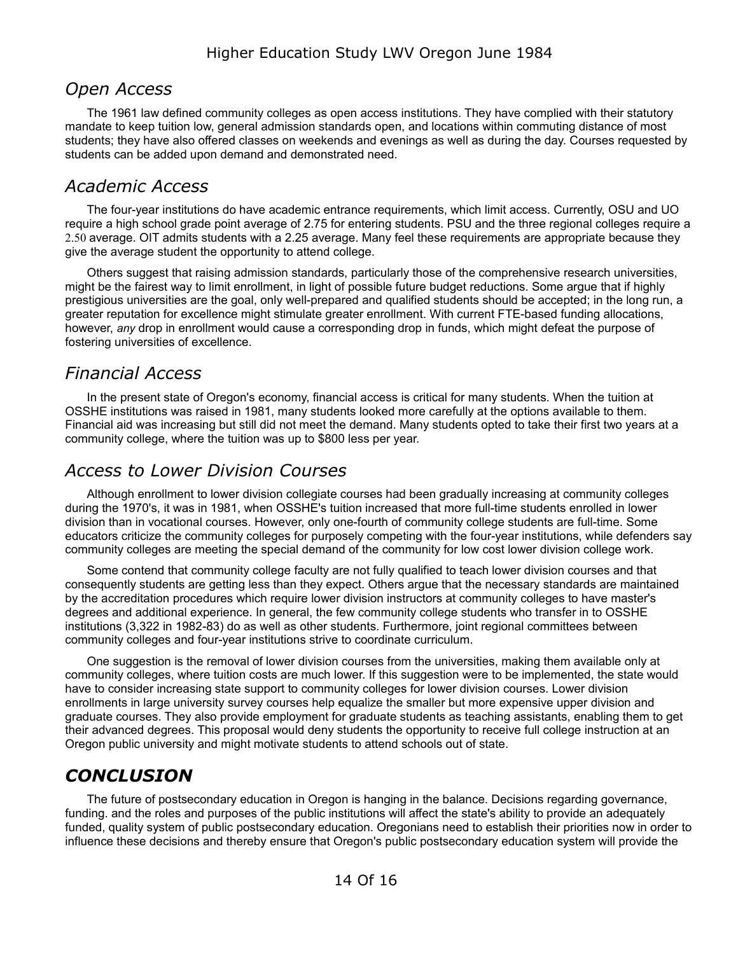#### <span id="page-13-4"></span>*Open Access*

The 1961 law defined community colleges as open access institutions. They have complied with their statutory mandate to keep tuition low, general admission standards open, and locations within commuting distance of most students; they have also offered classes on weekends and evenings as well as during the day. Courses requested by students can be added upon demand and demonstrated need.

#### <span id="page-13-3"></span>*Academic Access*

The four-year institutions do have academic entrance requirements, which limit access. Currently, OSU and UO require a high school grade point average of 2.75 for entering students. PSU and the three regional colleges require a 2.50 average. OIT admits students with a 2.25 average. Many feel these requirements are appropriate because they give the average student the opportunity to attend college.

Others suggest that raising admission standards, particularly those of the comprehensive research universities, might be the fairest way to limit enrollment, in light of possible future budget reductions. Some argue that if highly prestigious universities are the goal, only well-prepared and qualified students should be accepted; in the long run, a greater reputation for excellence might stimulate greater enrollment. With current FTE-based funding allocations, however, *any* drop in enrollment would cause a corresponding drop in funds, which might defeat the purpose of fostering universities of excellence.

#### <span id="page-13-2"></span>*Financial Access*

In the present state of Oregon's economy, financial access is critical for many students. When the tuition at OSSHE institutions was raised in 1981, many students looked more carefully at the options available to them. Financial aid was increasing but still did not meet the demand. Many students opted to take their first two years at a community college, where the tuition was up to \$800 less per year.

#### <span id="page-13-1"></span>*Access to Lower Division Courses*

Although enrollment to lower division collegiate courses had been gradually increasing at community colleges during the 1970's, it was in 1981, when OSSHE's tuition increased that more full-time students enrolled in lower division than in vocational courses. However, only one-fourth of community college students are full-time. Some educators criticize the community colleges for purposely competing with the four-year institutions, while defenders say community colleges are meeting the special demand of the community for low cost lower division college work.

Some contend that community college faculty are not fully qualified to teach lower division courses and that consequently students are getting less than they expect. Others argue that the necessary standards are maintained by the accreditation procedures which require lower division instructors at community colleges to have master's degrees and additional experience. In general, the few community college students who transfer in to OSSHE institutions (3,322 in 1982-83) do as well as other students. Furthermore, joint regional committees between community colleges and four-year institutions strive to coordinate curriculum.

One suggestion is the removal of lower division courses from the universities, making them available only at community colleges, where tuition costs are much lower. If this suggestion were to be implemented, the state would have to consider increasing state support to community colleges for lower division courses. Lower division enrollments in large university survey courses help equalize the smaller but more expensive upper division and graduate courses. They also provide employment for graduate students as teaching assistants, enabling them to get their advanced degrees. This proposal would deny students the opportunity to receive full college instruction at an Oregon public university and might motivate students to attend schools out of state.

### <span id="page-13-0"></span>*CONCLUSION*

The future of postsecondary education in Oregon is hanging in the balance. Decisions regarding governance, funding. and the roles and purposes of the public institutions will affect the state's ability to provide an adequately funded, quality system of public postsecondary education. Oregonians need to establish their priorities now in order to influence these decisions and thereby ensure that Oregon's public postsecondary education system will provide the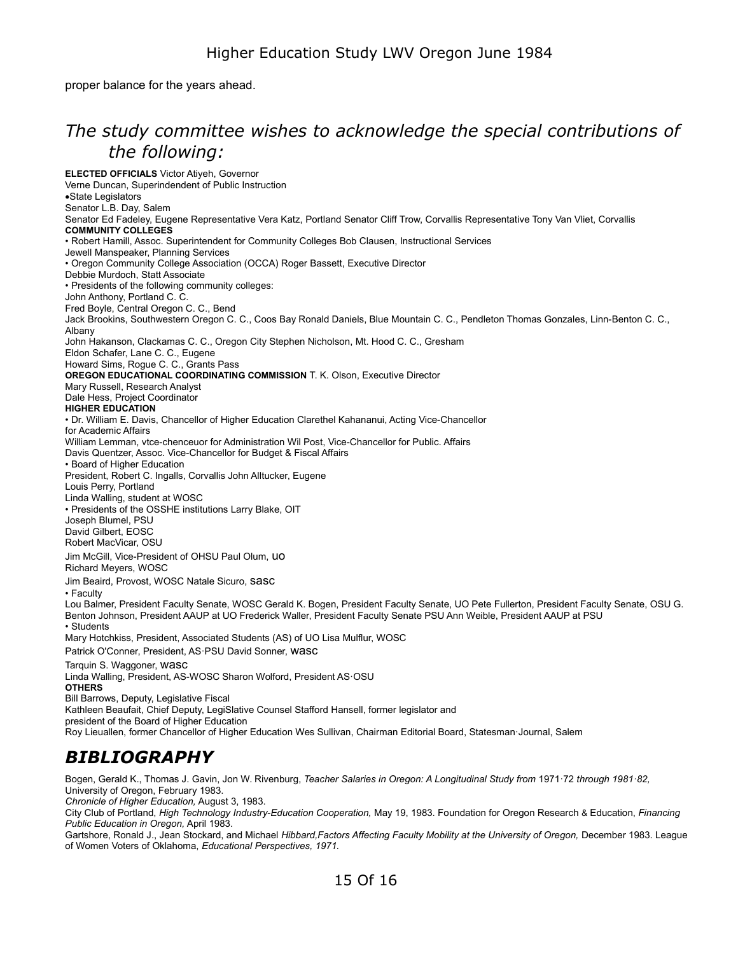proper balance for the years ahead.

### <span id="page-14-1"></span>*The study committee wishes to acknowledge the special contributions of the following:*

**ELECTED OFFICIALS** Victor Atiyeh, Governor Verne Duncan, Superindendent of Public Instruction ·State Legislators Senator L.B. Day, Salem Senator Ed Fadeley, Eugene Representative Vera Katz, Portland Senator Cliff Trow, Corvallis Representative Tony Van Vliet, Corvallis **COMMUNITY COLLEGES**  • Robert Hamill, Assoc. Superintendent for Community Colleges Bob Clausen, Instructional Services Jewell Manspeaker, Planning Services • Oregon Community College Association (OCCA) Roger Bassett, Executive Director Debbie Murdoch, Statt Associate • Presidents of the following community colleges: John Anthony, Portland C. C. Fred Boyle, Central Oregon C. C., Bend Jack Brookins, Southwestern Oregon C. C., Coos Bay Ronald Daniels, Blue Mountain C. C., Pendleton Thomas Gonzales, Linn-Benton C. C., Albany John Hakanson, Clackamas C. C., Oregon City Stephen Nicholson, Mt. Hood C. C., Gresham Eldon Schafer, Lane C. C., Eugene Howard Sims, Rogue C. C., Grants Pass **OREGON EDUCATIONAL COORDINATING COMMISSION** T. K. Olson, Executive Director Mary Russell, Research Analyst Dale Hess, Project Coordinator **HIGHER EDUCATION**  • Dr. William E. Davis, Chancellor of Higher Education Clarethel Kahananui, Acting Vice-Chancellor for Academic Affairs William Lemman, vtce-chenceuor for Administration Wil Post, Vice-Chancellor for Public. Affairs Davis Quentzer, Assoc. Vice-Chancellor for Budget & Fiscal Affairs • Board of Higher Education President, Robert C. Ingalls, Corvallis John Alltucker, Eugene Louis Perry, Portland Linda Walling, student at WOSC • Presidents of the OSSHE institutions Larry Blake, OIT Joseph Blumel, PSU David Gilbert, EOSC Robert MacVicar, OSU Jim McGill, Vice-President of OHSU Paul Olum, uo Richard Meyers, WOSC Jim Beaird, Provost, WOSC Natale Sicuro, sasc • Faculty Lou Balmer, President Faculty Senate, WOSC Gerald K. Bogen, President Faculty Senate, UO Pete Fullerton, President Faculty Senate, OSU G. Benton Johnson, President AAUP at UO Frederick Waller, President Faculty Senate PSU Ann Weible, President AAUP at PSU • Students Mary Hotchkiss, President, Associated Students (AS) of UO Lisa Mulflur, WOSC Patrick O'Conner, President, AS·PSU David Sonner, wasc Tarquin S. Waggoner, wasc Linda Walling, President, AS-WOSC Sharon Wolford, President AS·OSU **OTHERS**  Bill Barrows, Deputy, Legislative Fiscal Kathleen Beaufait, Chief Deputy, LegiSlative Counsel Stafford Hansell, former legislator and president of the Board of Higher Education Roy Lieuallen, former Chancellor of Higher Education Wes Sullivan, Chairman Editorial Board, Statesman·Journal, Salem

### <span id="page-14-0"></span>*BIBLIOGRAPHY*

Bogen, Gerald K., Thomas J. Gavin, Jon W. Rivenburg, *Teacher Salaries in Oregon: A Longitudinal Study from* 1971·72 *through 1981·82,*  University of Oregon, February 1983.

*Chronicle of Higher Education,* August 3, 1983.

City Club of Portland, *High Technology Industry-Education Cooperation,* May 19, 1983. Foundation for Oregon Research & Education, *Financing Public Education in Oregon,* April 1983.

Gartshore, Ronald J., Jean Stockard, and Michael Hibbard, Factors Affecting Faculty Mobility at the University of Oregon, December 1983. League of Women Voters of Oklahoma, *Educational Perspectives, 1971.*